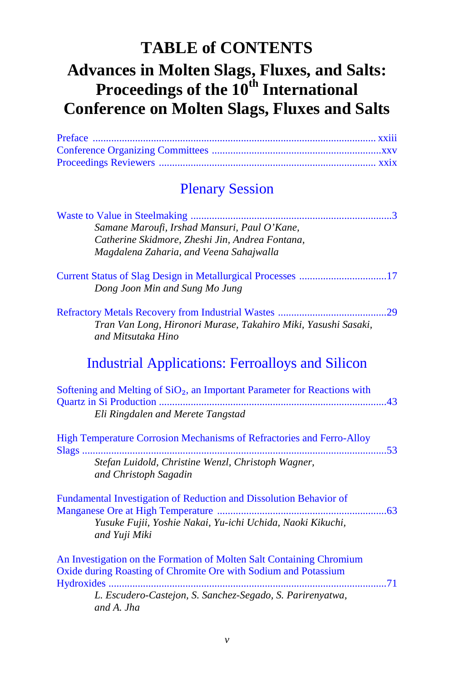# <span id="page-0-1"></span><span id="page-0-0"></span>**TABLE of CONTENTS Advances in Molten Slags, Fluxes, and Salts: Proceedings of the 10th International Conference on Molten Slags, Fluxes and Salts**

### Plenary Session

| Samane Maroufi, Irshad Mansuri, Paul O'Kane,                                          |
|---------------------------------------------------------------------------------------|
| Catherine Skidmore, Zheshi Jin, Andrea Fontana,                                       |
| Magdalena Zaharia, and Veena Sahajwalla                                               |
|                                                                                       |
|                                                                                       |
| Dong Joon Min and Sung Mo Jung                                                        |
|                                                                                       |
|                                                                                       |
| Tran Van Long, Hironori Murase, Takahiro Miki, Yasushi Sasaki,                        |
| and Mitsutaka Hino                                                                    |
|                                                                                       |
| <b>Industrial Applications: Ferroalloys and Silicon</b>                               |
|                                                                                       |
| Softening and Melting of SiO <sub>2</sub> , an Important Parameter for Reactions with |
|                                                                                       |
| Eli Ringdalen and Merete Tangstad                                                     |
|                                                                                       |
| High Temperature Corrosion Mechanisms of Refractories and Ferro-Alloy                 |
|                                                                                       |
| Stefan Luidold, Christine Wenzl, Christoph Wagner,                                    |
| and Christoph Sagadin                                                                 |
|                                                                                       |
| Fundamental Investigation of Reduction and Dissolution Behavior of                    |
|                                                                                       |
| Yusuke Fujii, Yoshie Nakai, Yu-ichi Uchida, Naoki Kikuchi,                            |
| and Yuji Miki                                                                         |
|                                                                                       |
| An Investigation on the Formation of Molten Salt Containing Chromium                  |
| Oxide during Roasting of Chromite Ore with Sodium and Potassium                       |
|                                                                                       |
| L. Escudero-Castejon, S. Sanchez-Segado, S. Parirenyatwa,                             |
| and A. Jha                                                                            |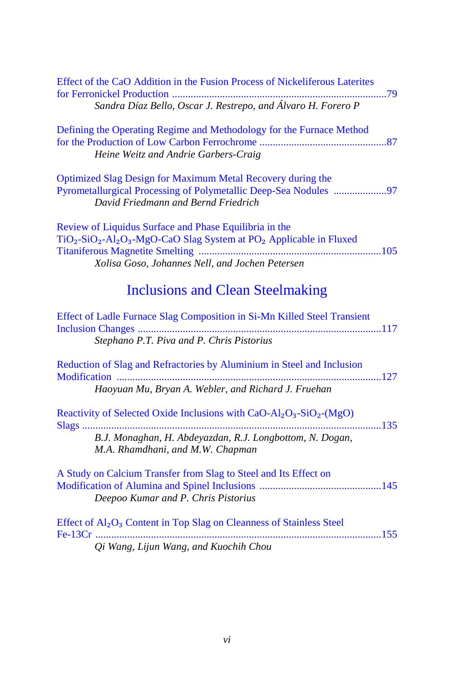| Effect of the CaO Addition in the Fusion Process of Nickeliferous Laterites                                                                                                                                                                  |
|----------------------------------------------------------------------------------------------------------------------------------------------------------------------------------------------------------------------------------------------|
| Sandra Díaz Bello, Oscar J. Restrepo, and Álvaro H. Forero P                                                                                                                                                                                 |
| Defining the Operating Regime and Methodology for the Furnace Method<br>Heine Weitz and Andrie Garbers-Craig                                                                                                                                 |
| Optimized Slag Design for Maximum Metal Recovery during the<br>Pyrometallurgical Processing of Polymetallic Deep-Sea Nodules 97<br>David Friedmann and Bernd Friedrich                                                                       |
| Review of Liquidus Surface and Phase Equilibria in the<br>TiO <sub>2</sub> -SiO <sub>2</sub> -Al <sub>2</sub> O <sub>3</sub> -MgO-CaO Slag System at PO <sub>2</sub> Applicable in Fluxed<br>Xolisa Goso, Johannes Nell, and Jochen Petersen |
| <b>Inclusions and Clean Steelmaking</b>                                                                                                                                                                                                      |
| Effect of Ladle Furnace Slag Composition in Si-Mn Killed Steel Transient<br>Stephano P.T. Piva and P. Chris Pistorius                                                                                                                        |
| Reduction of Slag and Refractories by Aluminium in Steel and Inclusion<br>Modification<br>127<br>Haoyuan Mu, Bryan A. Webler, and Richard J. Fruehan                                                                                         |
| Reactivity of Selected Oxide Inclusions with $CaO-Al_2O_3-SiO_2-(MgO)$<br>135<br>Slags<br>B.J. Monaghan, H. Abdeyazdan, R.J. Longbottom, N. Dogan,<br>M.A. Rhamdhani, and M.W. Chapman                                                       |
| A Study on Calcium Transfer from Slag to Steel and Its Effect on<br>Deepoo Kumar and P. Chris Pistorius                                                                                                                                      |
| Effect of Al <sub>2</sub> O <sub>3</sub> Content in Top Slag on Cleanness of Stainless Steel<br>Qi Wang, Lijun Wang, and Kuochih Chou                                                                                                        |
|                                                                                                                                                                                                                                              |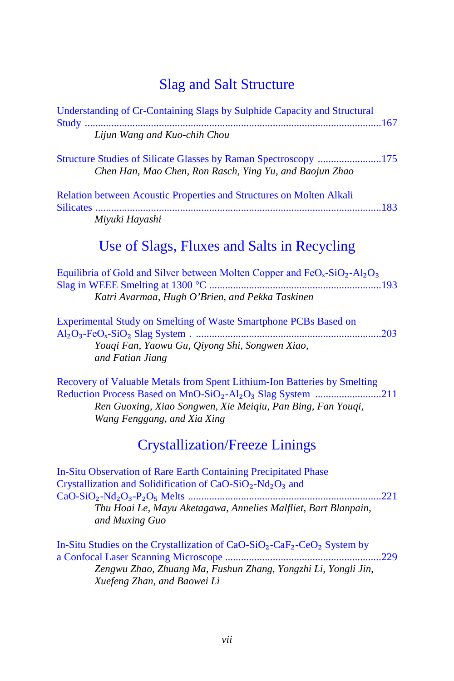#### [Slag and Salt Structure](#page-0-1)

| Understanding of Cr-Containing Slags by Sulphide Capacity and Structural                                                               |
|----------------------------------------------------------------------------------------------------------------------------------------|
| Lijun Wang and Kuo-chih Chou                                                                                                           |
| <b>Structure Studies of Silicate Glasses by Raman Spectroscopy 175</b><br>Chen Han, Mao Chen, Ron Rasch, Ying Yu, and Baojun Zhao      |
| <b>Relation between Acoustic Properties and Structures on Molten Alkali</b><br>Miyuki Hayashi                                          |
| Use of Slags, Fluxes and Salts in Recycling                                                                                            |
| Equilibria of Gold and Silver between Molten Copper and $FeOx-SiO2-Al2O3$<br>Katri Avarmaa, Hugh O'Brien, and Pekka Taskinen           |
| Experimental Study on Smelting of Waste Smartphone PCBs Based on<br>Youqi Fan, Yaowu Gu, Qiyong Shi, Songwen Xiao,<br>and Fatian Jiang |

[Recovery of Valuable Metals from Spent Lithium-Ion Batteries by Smelting](#page-0-0)  Reduction Process Based on MnO-SiO<sub>2</sub>-Al<sub>2</sub>O<sub>3</sub> Slag System .............................211 *Ren Guoxing, Xiao Songwen, Xie Meiqiu, Pan Bing, Fan Youqi, Wang Fenggang, and Xia Xing*

#### [Crystallization/Freeze Linings](#page-0-1)

| In-Situ Observation of Rare Earth Containing Precipitated Phase                  |  |
|----------------------------------------------------------------------------------|--|
| Crystallization and Solidification of $CaO-SiO2-Nd2O3$ and                       |  |
|                                                                                  |  |
| Thu Hoai Le, Mayu Aketagawa, Annelies Malfliet, Bart Blanpain,<br>and Muxing Guo |  |
|                                                                                  |  |

In-Situ Studies on the Crystallization of CaO-SiO₂-CaF₂-CeO₂ System by [a Confocal Laser Scanning Microscope ...........................................................229](#page-0-0) *Zengwu Zhao, Zhuang Ma, Fushun Zhang, Yongzhi Li, Yongli Jin, Xuefeng Zhan, and Baowei Li*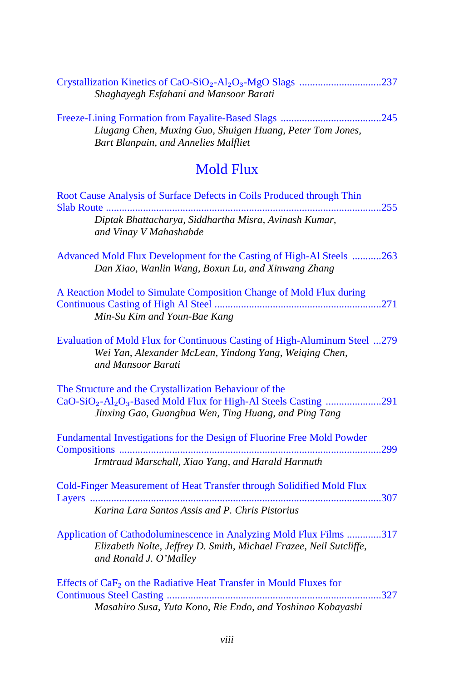| Shaghayegh Esfahani and Mansoor Barati                                                                                                                              |  |  |
|---------------------------------------------------------------------------------------------------------------------------------------------------------------------|--|--|
| Liugang Chen, Muxing Guo, Shuigen Huang, Peter Tom Jones,<br>Bart Blanpain, and Annelies Malfliet                                                                   |  |  |
| <b>Mold Flux</b>                                                                                                                                                    |  |  |
| Root Cause Analysis of Surface Defects in Coils Produced through Thin<br>Diptak Bhattacharya, Siddhartha Misra, Avinash Kumar,<br>and Vinay V Mahashabde            |  |  |
| Advanced Mold Flux Development for the Casting of High-Al Steels 263<br>Dan Xiao, Wanlin Wang, Boxun Lu, and Xinwang Zhang                                          |  |  |
| A Reaction Model to Simulate Composition Change of Mold Flux during<br>Min-Su Kim and Youn-Bae Kang                                                                 |  |  |
| Evaluation of Mold Flux for Continuous Casting of High-Aluminum Steel 279<br>Wei Yan, Alexander McLean, Yindong Yang, Weiging Chen,<br>and Mansoor Barati           |  |  |
| The Structure and the Crystallization Behaviour of the<br>Jinxing Gao, Guanghua Wen, Ting Huang, and Ping Tang                                                      |  |  |
| Fundamental Investigations for the Design of Fluorine Free Mold Powder<br>Irmtraud Marschall, Xiao Yang, and Harald Harmuth                                         |  |  |
| Cold-Finger Measurement of Heat Transfer through Solidified Mold Flux<br>Karina Lara Santos Assis and P. Chris Pistorius                                            |  |  |
| Application of Cathodoluminescence in Analyzing Mold Flux Films 317<br>Elizabeth Nolte, Jeffrey D. Smith, Michael Frazee, Neil Sutcliffe,<br>and Ronald J. O'Malley |  |  |
| Effects of CaF <sub>2</sub> on the Radiative Heat Transfer in Mould Fluxes for<br>Masahiro Susa, Yuta Kono, Rie Endo, and Yoshinao Kobayashi                        |  |  |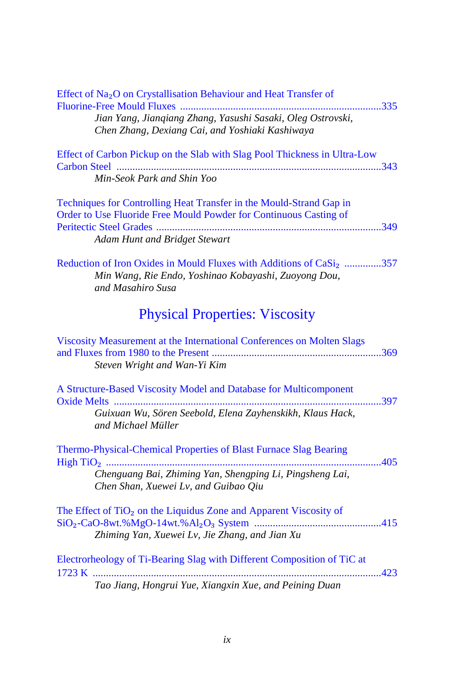| Effect of Na <sub>2</sub> O on Crystallisation Behaviour and Heat Transfer of<br>Jian Yang, Jianqiang Zhang, Yasushi Sasaki, Oleg Ostrovski,<br>Chen Zhang, Dexiang Cai, and Yoshiaki Kashiwaya |
|-------------------------------------------------------------------------------------------------------------------------------------------------------------------------------------------------|
| Effect of Carbon Pickup on the Slab with Slag Pool Thickness in Ultra-Low                                                                                                                       |
| Min-Seok Park and Shin Yoo                                                                                                                                                                      |
| Techniques for Controlling Heat Transfer in the Mould-Strand Gap in<br>Order to Use Fluoride Free Mould Powder for Continuous Casting of                                                        |
| Adam Hunt and Bridget Stewart                                                                                                                                                                   |
| Reduction of Iron Oxides in Mould Fluxes with Additions of CaSi <sub>2</sub> 357<br>Min Wang, Rie Endo, Yoshinao Kobayashi, Zuoyong Dou,<br>and Masahiro Susa                                   |
| <b>Physical Properties: Viscosity</b>                                                                                                                                                           |
| Viscosity Measurement at the International Conferences on Molten Slags<br>Steven Wright and Wan-Yi Kim                                                                                          |
| A Structure-Based Viscosity Model and Database for Multicomponent                                                                                                                               |
| Guixuan Wu, Sören Seebold, Elena Zayhenskikh, Klaus Hack,<br>and Michael Müller                                                                                                                 |
| Thermo-Physical-Chemical Properties of Blast Furnace Slag Bearing                                                                                                                               |
| Chenguang Bai, Zhiming Yan, Shengping Li, Pingsheng Lai,<br>Chen Shan, Xuewei Lv, and Guibao Qiu                                                                                                |
| The Effect of TiO <sub>2</sub> on the Liquidus Zone and Apparent Viscosity of                                                                                                                   |
| Zhiming Yan, Xuewei Lv, Jie Zhang, and Jian Xu                                                                                                                                                  |
| Electrorheology of Ti-Bearing Slag with Different Composition of TiC at                                                                                                                         |
| Tao Jiang, Hongrui Yue, Xiangxin Xue, and Peining Duan                                                                                                                                          |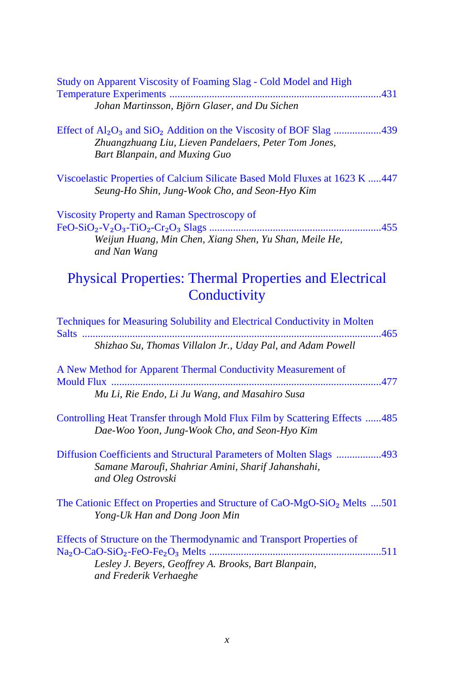| Study on Apparent Viscosity of Foaming Slag - Cold Model and High<br>Johan Martinsson, Björn Glaser, and Du Sichen                                                  |
|---------------------------------------------------------------------------------------------------------------------------------------------------------------------|
| Effect of $Al_2O_3$ and $SiO_2$ Addition on the Viscosity of BOF Slag 439<br>Zhuangzhuang Liu, Lieven Pandelaers, Peter Tom Jones,<br>Bart Blanpain, and Muxing Guo |
| Viscoelastic Properties of Calcium Silicate Based Mold Fluxes at 1623 K 447<br>Seung-Ho Shin, Jung-Wook Cho, and Seon-Hyo Kim                                       |
| Viscosity Property and Raman Spectroscopy of<br>Weijun Huang, Min Chen, Xiang Shen, Yu Shan, Meile He,<br>and Nan Wang                                              |
| <b>Physical Properties: Thermal Properties and Electrical</b><br>Conductivity                                                                                       |
| Techniques for Measuring Solubility and Electrical Conductivity in Molten<br>Salts<br>465<br>Shizhao Su, Thomas Villalon Jr., Uday Pal, and Adam Powell             |
| A New Method for Apparent Thermal Conductivity Measurement of<br>477<br>Mu Li, Rie Endo, Li Ju Wang, and Masahiro Susa                                              |
| Controlling Heat Transfer through Mold Flux Film by Scattering Effects 485<br>Dae-Woo Yoon, Jung-Wook Cho, and Seon-Hyo Kim                                         |
| Diffusion Coefficients and Structural Parameters of Molten Slags 493<br>Samane Maroufi, Shahriar Amini, Sharif Jahanshahi,<br>and Oleg Ostrovski                    |
| The Cationic Effect on Properties and Structure of CaO-MgO-SiO <sub>2</sub> Melts 501<br>Yong-Uk Han and Dong Joon Min                                              |
| Effects of Structure on the Thermodynamic and Transport Properties of<br>Lesley J. Beyers, Geoffrey A. Brooks, Bart Blanpain,<br>and Frederik Verhaeghe             |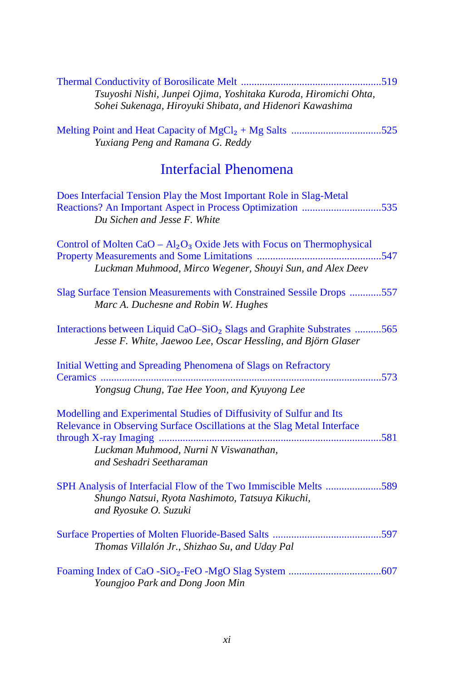| Tsuyoshi Nishi, Junpei Ojima, Yoshitaka Kuroda, Hiromichi Ohta,<br>Sohei Sukenaga, Hiroyuki Shibata, and Hidenori Kawashima                                                                                         |  |  |
|---------------------------------------------------------------------------------------------------------------------------------------------------------------------------------------------------------------------|--|--|
| Yuxiang Peng and Ramana G. Reddy                                                                                                                                                                                    |  |  |
| <b>Interfacial Phenomena</b>                                                                                                                                                                                        |  |  |
| Does Interfacial Tension Play the Most Important Role in Slag-Metal<br>Reactions? An Important Aspect in Process Optimization 535<br>Du Sichen and Jesse F. White                                                   |  |  |
| Control of Molten CaO – $Al_2O_3$ Oxide Jets with Focus on Thermophysical<br>Luckman Muhmood, Mirco Wegener, Shouyi Sun, and Alex Deev                                                                              |  |  |
| Slag Surface Tension Measurements with Constrained Sessile Drops 557<br>Marc A. Duchesne and Robin W. Hughes                                                                                                        |  |  |
| Interactions between Liquid CaO-SiO <sub>2</sub> Slags and Graphite Substrates 565<br>Jesse F. White, Jaewoo Lee, Oscar Hessling, and Björn Glaser                                                                  |  |  |
| Initial Wetting and Spreading Phenomena of Slags on Refractory<br>Yongsug Chung, Tae Hee Yoon, and Kyuyong Lee                                                                                                      |  |  |
|                                                                                                                                                                                                                     |  |  |
| Modelling and Experimental Studies of Diffusivity of Sulfur and Its<br>Relevance in Observing Surface Oscillations at the Slag Metal Interface<br>Luckman Muhmood, Nurni N Viswanathan,<br>and Seshadri Seetharaman |  |  |
| SPH Analysis of Interfacial Flow of the Two Immiscible Melts 589<br>Shungo Natsui, Ryota Nashimoto, Tatsuya Kikuchi,<br>and Ryosuke O. Suzuki                                                                       |  |  |
| Thomas Villalón Jr., Shizhao Su, and Uday Pal                                                                                                                                                                       |  |  |
| Youngjoo Park and Dong Joon Min                                                                                                                                                                                     |  |  |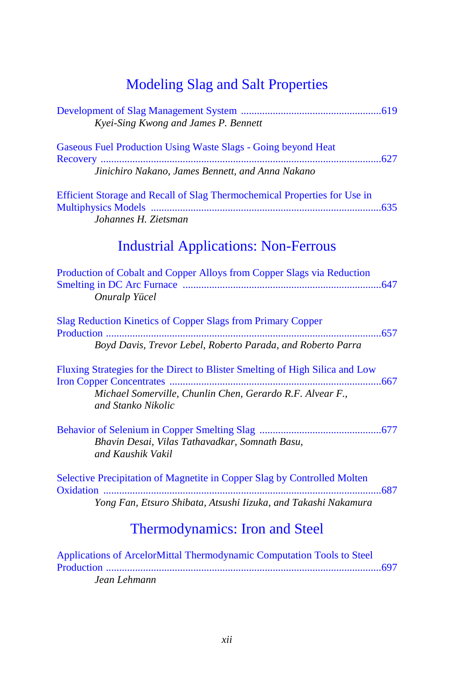# [Modeling Slag and Salt Properties](#page-0-1)

| Kyei-Sing Kwong and James P. Bennett                                                                                                                            |
|-----------------------------------------------------------------------------------------------------------------------------------------------------------------|
| Gaseous Fuel Production Using Waste Slags - Going beyond Heat<br>Jinichiro Nakano, James Bennett, and Anna Nakano                                               |
| Efficient Storage and Recall of Slag Thermochemical Properties for Use in<br>Johannes H. Zietsman                                                               |
| <b>Industrial Applications: Non-Ferrous</b>                                                                                                                     |
| Production of Cobalt and Copper Alloys from Copper Slags via Reduction<br>Onuralp Yücel                                                                         |
| Slag Reduction Kinetics of Copper Slags from Primary Copper<br>Boyd Davis, Trevor Lebel, Roberto Parada, and Roberto Parra                                      |
| Fluxing Strategies for the Direct to Blister Smelting of High Silica and Low<br>Michael Somerville, Chunlin Chen, Gerardo R.F. Alvear F.,<br>and Stanko Nikolic |
| Bhavin Desai, Vilas Tathavadkar, Somnath Basu,<br>and Kaushik Vakil                                                                                             |
| Selective Precipitation of Magnetite in Copper Slag by Controlled Molten                                                                                        |
| Yong Fan, Etsuro Shibata, Atsushi Iizuka, and Takashi Nakamura                                                                                                  |
| <b>Thermodynamics: Iron and Steel</b>                                                                                                                           |

Applications of ArcelorMittal Thermodynamic Computation Tools to Steel [Production ........................................................................................................697](#page-0-0) *Jean Lehmann*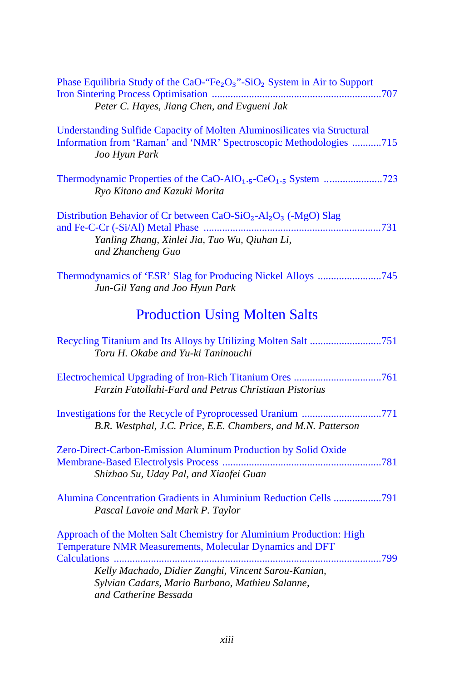| Phase Equilibria Study of the CaO-"Fe <sub>2</sub> O <sub>3</sub> "-SiO <sub>2</sub> System in Air to Support<br>Peter C. Hayes, Jiang Chen, and Evgueni Jak               |
|----------------------------------------------------------------------------------------------------------------------------------------------------------------------------|
| Understanding Sulfide Capacity of Molten Aluminosilicates via Structural<br>Information from 'Raman' and 'NMR' Spectroscopic Methodologies 715<br>Joo Hyun Park            |
| Thermodynamic Properties of the CaO-AlO <sub>1</sub> . <sub>5</sub> -CeO <sub>1</sub> . <sub>5</sub> System 723<br>Ryo Kitano and Kazuki Morita                            |
| Distribution Behavior of Cr between CaO-SiO <sub>2</sub> -Al <sub>2</sub> O <sub>3</sub> (-MgO) Slag<br>Yanling Zhang, Xinlei Jia, Tuo Wu, Qiuhan Li,<br>and Zhancheng Guo |
| Jun-Gil Yang and Joo Hyun Park                                                                                                                                             |
| <b>Production Using Molten Salts</b>                                                                                                                                       |
| Toru H. Okabe and Yu-ki Taninouchi                                                                                                                                         |
| Farzin Fatollahi-Fard and Petrus Christiaan Pistorius                                                                                                                      |
| Investigations for the Recycle of Pyroprocessed Uranium 771<br>B.R. Westphal, J.C. Price, E.E. Chambers, and M.N. Patterson                                                |
| Zero-Direct-Carbon-Emission Aluminum Production by Solid Oxide<br>Shizhao Su, Uday Pal, and Xiaofei Guan                                                                   |
| Alumina Concentration Gradients in Aluminium Reduction Cells 791<br>Pascal Lavoie and Mark P. Taylor                                                                       |
| Approach of the Molten Salt Chemistry for Aluminium Production: High<br>Temperature NMR Measurements, Molecular Dynamics and DFT<br>Calculations                           |
| Kelly Machado, Didier Zanghi, Vincent Sarou-Kanian,<br>Sylvian Cadars, Mario Burbano, Mathieu Salanne,<br>and Catherine Bessada                                            |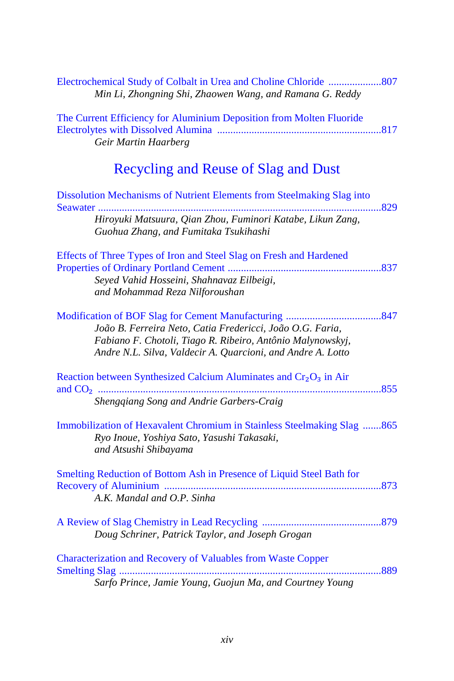| Min Li, Zhongning Shi, Zhaowen Wang, and Ramana G. Reddy                                                                                                                               |     |
|----------------------------------------------------------------------------------------------------------------------------------------------------------------------------------------|-----|
| The Current Efficiency for Aluminium Deposition from Molten Fluoride<br>Geir Martin Haarberg                                                                                           |     |
| Recycling and Reuse of Slag and Dust                                                                                                                                                   |     |
| Dissolution Mechanisms of Nutrient Elements from Steelmaking Slag into                                                                                                                 | 829 |
| Hiroyuki Matsuura, Qian Zhou, Fuminori Katabe, Likun Zang,<br>Guohua Zhang, and Fumitaka Tsukihashi                                                                                    |     |
| Effects of Three Types of Iron and Steel Slag on Fresh and Hardened                                                                                                                    |     |
| Seyed Vahid Hosseini, Shahnavaz Eilbeigi,<br>and Mohammad Reza Nilforoushan                                                                                                            |     |
| João B. Ferreira Neto, Catia Fredericci, João O.G. Faria,<br>Fabiano F. Chotoli, Tiago R. Ribeiro, Antônio Malynowskyj,<br>Andre N.L. Silva, Valdecir A. Quarcioni, and Andre A. Lotto | 847 |
| Reaction between Synthesized Calcium Aluminates and Cr <sub>2</sub> O <sub>3</sub> in Air                                                                                              |     |
| Shengqiang Song and Andrie Garbers-Craig                                                                                                                                               |     |
| Immobilization of Hexavalent Chromium in Stainless Steelmaking Slag 865<br>Ryo Inoue, Yoshiya Sato, Yasushi Takasaki,<br>and Atsushi Shibayama                                         |     |
| Smelting Reduction of Bottom Ash in Presence of Liquid Steel Bath for<br>A.K. Mandal and O.P. Sinha                                                                                    |     |
| Doug Schriner, Patrick Taylor, and Joseph Grogan                                                                                                                                       |     |
| Characterization and Recovery of Valuables from Waste Copper<br>Sarfo Prince, Jamie Young, Guojun Ma, and Courtney Young                                                               | 889 |
|                                                                                                                                                                                        |     |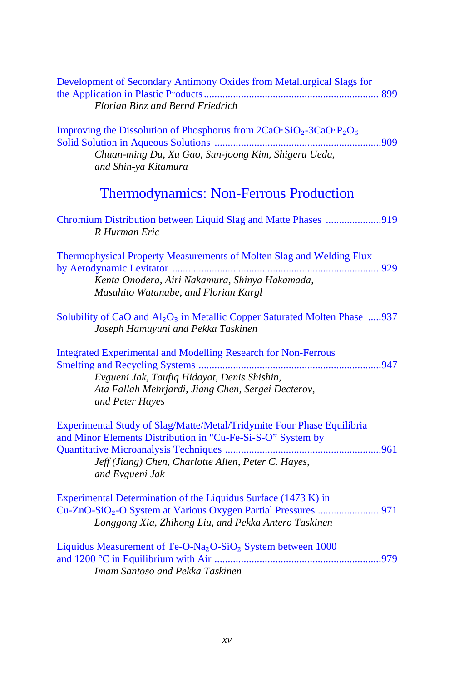| Development of Secondary Antimony Oxides from Metallurgical Slags for                                                                    |
|------------------------------------------------------------------------------------------------------------------------------------------|
|                                                                                                                                          |
| Florian Binz and Bernd Friedrich                                                                                                         |
| Improving the Dissolution of Phosphorus from 2CaO·SiO <sub>2</sub> -3CaO·P <sub>2</sub> O <sub>5</sub>                                   |
|                                                                                                                                          |
| Chuan-ming Du, Xu Gao, Sun-joong Kim, Shigeru Ueda,                                                                                      |
| and Shin-ya Kitamura                                                                                                                     |
| <b>Thermodynamics: Non-Ferrous Production</b>                                                                                            |
| Chromium Distribution between Liquid Slag and Matte Phases 919<br>R Hurman Eric                                                          |
| Thermophysical Property Measurements of Molten Slag and Welding Flux                                                                     |
| Kenta Onodera, Airi Nakamura, Shinya Hakamada,                                                                                           |
| Masahito Watanabe, and Florian Kargl                                                                                                     |
| Solubility of CaO and Al <sub>2</sub> O <sub>3</sub> in Metallic Copper Saturated Molten Phase 937<br>Joseph Hamuyuni and Pekka Taskinen |
| <b>Integrated Experimental and Modelling Research for Non-Ferrous</b>                                                                    |
|                                                                                                                                          |
| Evgueni Jak, Taufiq Hidayat, Denis Shishin,                                                                                              |
| Ata Fallah Mehrjardi, Jiang Chen, Sergei Decterov,                                                                                       |
| and Peter Hayes                                                                                                                          |
| Experimental Study of Slag/Matte/Metal/Tridymite Four Phase Equilibria                                                                   |
| and Minor Elements Distribution in "Cu-Fe-Si-S-O" System by                                                                              |
|                                                                                                                                          |
| Jeff (Jiang) Chen, Charlotte Allen, Peter C. Hayes,<br>and Evgueni Jak                                                                   |
| Experimental Determination of the Liquidus Surface (1473 K) in                                                                           |
| Cu-ZnO-SiO <sub>2</sub> -O System at Various Oxygen Partial Pressures 971                                                                |
| Longgong Xia, Zhihong Liu, and Pekka Antero Taskinen                                                                                     |
| Liquidus Measurement of Te-O-Na <sub>2</sub> O-SiO <sub>2</sub> System between 1000                                                      |
|                                                                                                                                          |
| Imam Santoso and Pekka Taskinen                                                                                                          |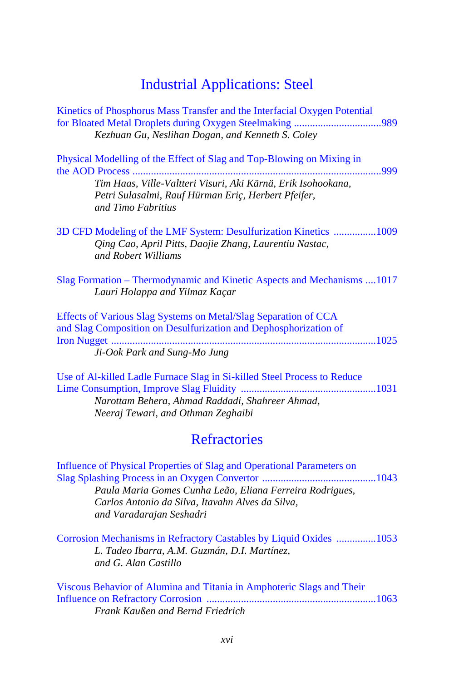## [Industrial Applications: Steel](#page-0-1)

| Kinetics of Phosphorus Mass Transfer and the Interfacial Oxygen Potential<br>Kezhuan Gu, Neslihan Dogan, and Kenneth S. Coley                                                                                      |
|--------------------------------------------------------------------------------------------------------------------------------------------------------------------------------------------------------------------|
| Physical Modelling of the Effect of Slag and Top-Blowing on Mixing in                                                                                                                                              |
| Tim Haas, Ville-Valtteri Visuri, Aki Kärnä, Erik Isohookana,<br>Petri Sulasalmi, Rauf Hürman Eriç, Herbert Pfeifer,<br>and Timo Fabritius                                                                          |
| 3D CFD Modeling of the LMF System: Desulfurization Kinetics 1009<br>Qing Cao, April Pitts, Daojie Zhang, Laurentiu Nastac,<br>and Robert Williams                                                                  |
| Slag Formation – Thermodynamic and Kinetic Aspects and Mechanisms 1017<br>Lauri Holappa and Yilmaz Kaçar                                                                                                           |
| Effects of Various Slag Systems on Metal/Slag Separation of CCA<br>and Slag Composition on Desulfurization and Dephosphorization of<br>Ji-Ook Park and Sung-Mo Jung                                                |
| Use of Al-killed Ladle Furnace Slag in Si-killed Steel Process to Reduce<br>Narottam Behera, Ahmad Raddadi, Shahreer Ahmad,<br>Neeraj Tewari, and Othman Zeghaibi                                                  |
| <b>Refractories</b>                                                                                                                                                                                                |
| Influence of Physical Properties of Slag and Operational Parameters on<br>Paula Maria Gomes Cunha Leão, Eliana Ferreira Rodrigues,<br>Carlos Antonio da Silva, Itavahn Alves da Silva,<br>and Varadarajan Seshadri |
| Corrosion Mechanisms in Refractory Castables by Liquid Oxides 1053<br>L. Tadeo Ibarra, A.M. Guzmán, D.I. Martínez,<br>and G. Alan Castillo                                                                         |

Viscous Behavior of Alumina and Titania in Amphoteric Slags and Their [Influence on Refractory Corrosion ................................................................1063](#page-0-0) *Frank Kaußen and Bernd Friedrich*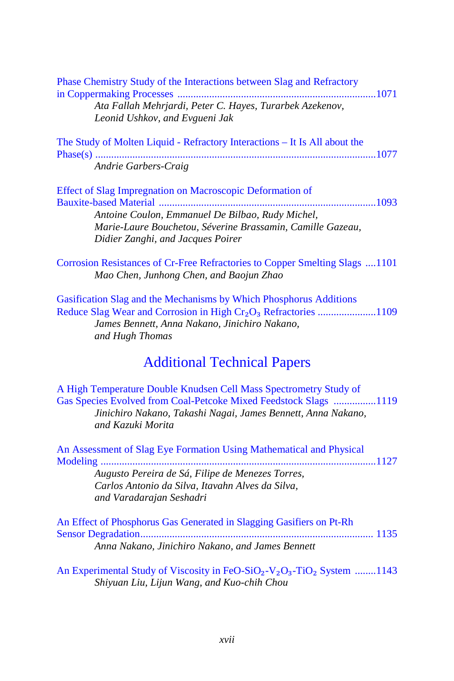| <b>Phase Chemistry Study of the Interactions between Slag and Refractory</b> |  |
|------------------------------------------------------------------------------|--|
|                                                                              |  |
| Ata Fallah Mehrjardi, Peter C. Hayes, Turarbek Azekenov,                     |  |
| Leonid Ushkov, and Evgueni Jak                                               |  |
|                                                                              |  |

|                      | The Study of Molten Liquid - Refractory Interactions – It Is All about the |
|----------------------|----------------------------------------------------------------------------|
|                      |                                                                            |
| Andrie Garbers-Craig |                                                                            |

Effect of Slag Impregnation on Macroscopic Deformation of [Bauxite-based Material ..................................................................................1093](#page-0-0) *Antoine Coulon, Emmanuel De Bilbao, Rudy Michel, Marie-Laure Bouchetou, Séverine Brassamin, Camille Gazeau, Didier Zanghi, and Jacques Poirer*

[Corrosion Resistances of Cr-Free Refractories to Copper Smelting Slags ....1101](#page-0-0) *Mao Chen, Junhong Chen, and Baojun Zhao*

[Gasification Slag and the Mechanisms by Which Phosphorus](#page-0-0) Additions Reduce Slag Wear and Corrosion in High Cr₂O₃ Refractories ......................1109 *James Bennett, Anna Nakano, Jinichiro Nakano, and Hugh Thomas*

#### [Additional Technical Papers](#page-0-1)

A High Temperature Double Knudsen Cell Mass Spectrometry Study of [Gas Species Evolved from Coal-Petcoke Mixed Feedstock Slags ................1119](#page-0-0) *Jinichiro Nakano, Takashi Nagai, James Bennett, Anna Nakano, and Kazuki Morita*

| An Assessment of Slag Eye Formation Using Mathematical and Physical |  |
|---------------------------------------------------------------------|--|
|                                                                     |  |
| Augusto Pereira de Sá, Filipe de Menezes Torres,                    |  |
| Carlos Antonio da Silva, Itavahn Alves da Silva,                    |  |
| and Varadarajan Seshadri                                            |  |
|                                                                     |  |

An Effect of Phosphorus Gas Generated in Slagging Gasifiers on Pt-Rh [Sensor Degradation........................................................................................ 1135](#page-0-0) *Anna Nakano, Jinichiro Nakano, and James Bennett*

[An Experimental Study of Viscosity in FeO-SiO](#page-0-0)<sub>2</sub>-V<sub>2</sub>O<sub>3</sub>-TiO<sub>2</sub> System ........1143 *Shiyuan Liu, Lijun Wang, and Kuo-chih Chou*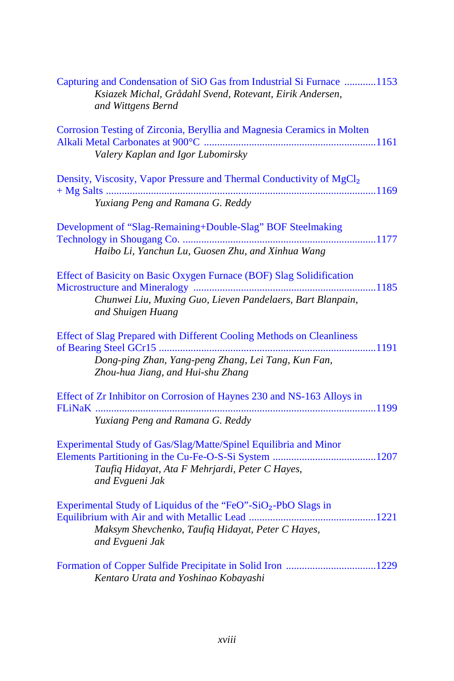| Capturing and Condensation of SiO Gas from Industrial Si Furnace 1153<br>Ksiazek Michal, Grådahl Svend, Rotevant, Eirik Andersen,<br>and Wittgens Bernd           |
|-------------------------------------------------------------------------------------------------------------------------------------------------------------------|
| Corrosion Testing of Zirconia, Beryllia and Magnesia Ceramics in Molten<br>Valery Kaplan and Igor Lubomirsky                                                      |
| Density, Viscosity, Vapor Pressure and Thermal Conductivity of MgCl <sub>2</sub><br>Yuxiang Peng and Ramana G. Reddy                                              |
| Development of "Slag-Remaining+Double-Slag" BOF Steelmaking<br>Haibo Li, Yanchun Lu, Guosen Zhu, and Xinhua Wang                                                  |
| Effect of Basicity on Basic Oxygen Furnace (BOF) Slag Solidification<br>Chunwei Liu, Muxing Guo, Lieven Pandelaers, Bart Blanpain,<br>and Shuigen Huang           |
| Effect of Slag Prepared with Different Cooling Methods on Cleanliness<br>Dong-ping Zhan, Yang-peng Zhang, Lei Tang, Kun Fan,<br>Zhou-hua Jiang, and Hui-shu Zhang |
| Effect of Zr Inhibitor on Corrosion of Haynes 230 and NS-163 Alloys in<br>Yuxiang Peng and Ramana G. Reddy                                                        |
| Experimental Study of Gas/Slag/Matte/Spinel Equilibria and Minor<br>Taufiq Hidayat, Ata F Mehrjardi, Peter C Hayes,<br>and Evgueni Jak                            |
| Experimental Study of Liquidus of the "FeO"-SiO <sub>2</sub> -PbO Slags in<br>Maksym Shevchenko, Taufiq Hidayat, Peter C Hayes,<br>and Evgueni Jak                |
| Kentaro Urata and Yoshinao Kobayashi                                                                                                                              |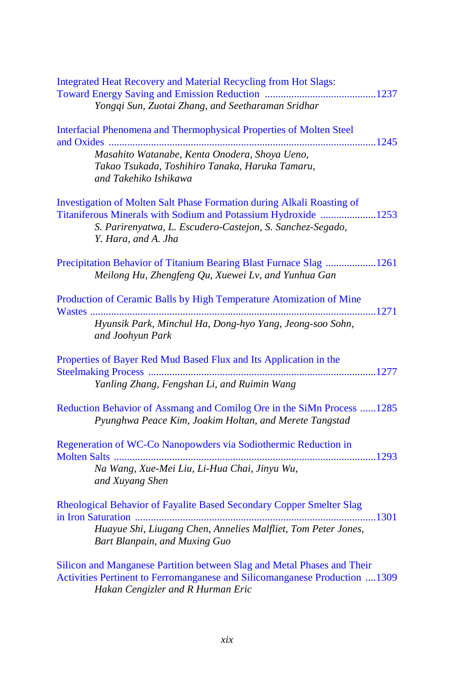| <b>Integrated Heat Recovery and Material Recycling from Hot Slags:</b><br>Yongqi Sun, Zuotai Zhang, and Seetharaman Sridhar                                                                                                         |
|-------------------------------------------------------------------------------------------------------------------------------------------------------------------------------------------------------------------------------------|
| Interfacial Phenomena and Thermophysical Properties of Molten Steel                                                                                                                                                                 |
| Masahito Watanabe, Kenta Onodera, Shoya Ueno,<br>Takao Tsukada, Toshihiro Tanaka, Haruka Tamaru,<br>and Takehiko Ishikawa                                                                                                           |
| <b>Investigation of Molten Salt Phase Formation during Alkali Roasting of</b><br>Titaniferous Minerals with Sodium and Potassium Hydroxide 1253<br>S. Parirenyatwa, L. Escudero-Castejon, S. Sanchez-Segado,<br>Y. Hara, and A. Jha |
| Precipitation Behavior of Titanium Bearing Blast Furnace Slag 1261<br>Meilong Hu, Zhengfeng Qu, Xuewei Lv, and Yunhua Gan                                                                                                           |
| Production of Ceramic Balls by High Temperature Atomization of Mine<br>Hyunsik Park, Minchul Ha, Dong-hyo Yang, Jeong-soo Sohn,<br>and Joohyun Park                                                                                 |
| Properties of Bayer Red Mud Based Flux and Its Application in the<br>Yanling Zhang, Fengshan Li, and Ruimin Wang                                                                                                                    |
| Reduction Behavior of Assmang and Comilog Ore in the SiMn Process 1285<br>Pyunghwa Peace Kim, Joakim Holtan, and Merete Tangstad                                                                                                    |
| Regeneration of WC-Co Nanopowders via Sodiothermic Reduction in<br>Na Wang, Xue-Mei Liu, Li-Hua Chai, Jinyu Wu,<br>and Xuyang Shen                                                                                                  |
| Rheological Behavior of Fayalite Based Secondary Copper Smelter Slag<br>Huayue Shi, Liugang Chen, Annelies Malfliet, Tom Peter Jones,<br>Bart Blanpain, and Muxing Guo                                                              |
| Silicon and Manganese Partition between Slag and Metal Phases and Their<br>Activities Pertinent to Ferromanganese and Silicomanganese Production 1309                                                                               |

*Hakan Cengizler and R Hurman Eric*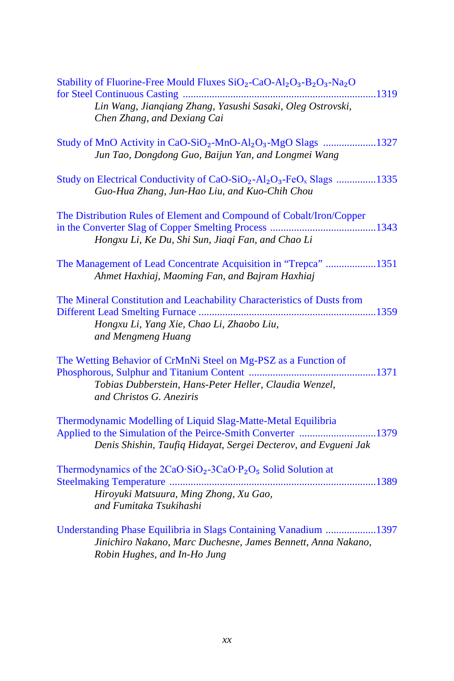| Stability of Fluorine-Free Mould Fluxes SiO <sub>2</sub> -CaO-Al <sub>2</sub> O <sub>3</sub> -B <sub>2</sub> O <sub>3</sub> -Na <sub>2</sub> O                                                   |
|--------------------------------------------------------------------------------------------------------------------------------------------------------------------------------------------------|
| Lin Wang, Jianqiang Zhang, Yasushi Sasaki, Oleg Ostrovski,<br>Chen Zhang, and Dexiang Cai                                                                                                        |
| Study of MnO Activity in CaO-SiO <sub>2</sub> -MnO-Al <sub>2</sub> O <sub>3</sub> -MgO Slags 1327<br>Jun Tao, Dongdong Guo, Baijun Yan, and Longmei Wang                                         |
| Study on Electrical Conductivity of CaO-SiO <sub>2</sub> -Al <sub>2</sub> O <sub>3</sub> -FeO <sub>x</sub> Slags 1335<br>Guo-Hua Zhang, Jun-Hao Liu, and Kuo-Chih Chou                           |
| The Distribution Rules of Element and Compound of Cobalt/Iron/Copper<br>Hongxu Li, Ke Du, Shi Sun, Jiaqi Fan, and Chao Li                                                                        |
| The Management of Lead Concentrate Acquisition in "Trepca" 1351<br>Ahmet Haxhiaj, Maoming Fan, and Bajram Haxhiaj                                                                                |
| The Mineral Constitution and Leachability Characteristics of Dusts from<br>Hongxu Li, Yang Xie, Chao Li, Zhaobo Liu,<br>and Mengmeng Huang                                                       |
| The Wetting Behavior of CrMnNi Steel on Mg-PSZ as a Function of<br>Tobias Dubberstein, Hans-Peter Heller, Claudia Wenzel,<br>and Christos G. Aneziris                                            |
| Thermodynamic Modelling of Liquid Slag-Matte-Metal Equilibria<br>Applied to the Simulation of the Peirce-Smith Converter 1379<br>Denis Shishin, Taufiq Hidayat, Sergei Decterov, and Evgueni Jak |
| Thermodynamics of the $2CaO·SiO2 - 3CaO·P2O5$ Solid Solution at<br>Hiroyuki Matsuura, Ming Zhong, Xu Gao,<br>and Fumitaka Tsukihashi                                                             |
| Understanding Phase Equilibria in Slags Containing Vanadium 1397<br>Jinichiro Nakano, Marc Duchesne, James Bennett, Anna Nakano,                                                                 |

*Robin Hughes, and In-Ho Jung*